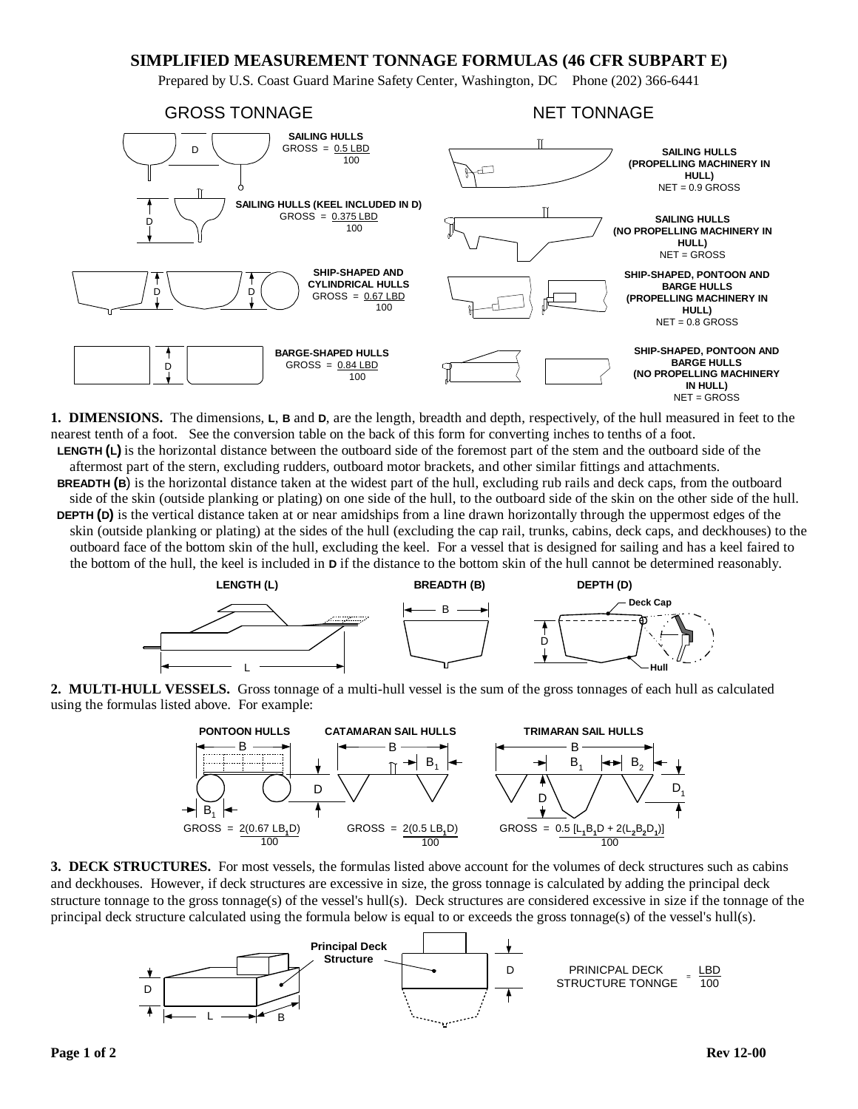# **SIMPLIFIED MEASUREMENT TONNAGE FORMULAS (46 CFR SUBPART E)**

Prepared by U.S. Coast Guard Marine Safety Center, Washington, DC Phone (202) 366-6441



**1. DIMENSIONS.** The dimensions, **L**, **B** and **D**, are the length, breadth and depth, respectively, of the hull measured in feet to the nearest tenth of a foot. See the conversion table on the back of this form for converting inches to tenths of a foot. **LENGTH (L)** is the horizontal distance between the outboard side of the foremost part of the stem and the outboard side of the

aftermost part of the stern, excluding rudders, outboard motor brackets, and other similar fittings and attachments. **BREADTH (B**) is the horizontal distance taken at the widest part of the hull, excluding rub rails and deck caps, from the outboard side of the skin (outside planking or plating) on one side of the hull, to the outboard side of the skin on the other side of the hull. **DEPTH (D)** is the vertical distance taken at or near amidships from a line drawn horizontally through the uppermost edges of the skin (outside planking or plating) at the sides of the hull (excluding the cap rail, trunks, cabins, deck caps, and deckhouses) to the outboard face of the bottom skin of the hull, excluding the keel. For a vessel that is designed for sailing and has a keel faired to the bottom of the hull, the keel is included in **D** if the distance to the bottom skin of the hull cannot be determined reasonably.



**2. MULTI-HULL VESSELS.** Gross tonnage of a multi-hull vessel is the sum of the gross tonnages of each hull as calculated using the formulas listed above. For example:



**3. DECK STRUCTURES.** For most vessels, the formulas listed above account for the volumes of deck structures such as cabins and deckhouses. However, if deck structures are excessive in size, the gross tonnage is calculated by adding the principal deck structure tonnage to the gross tonnage(s) of the vessel's hull(s). Deck structures are considered excessive in size if the tonnage of the principal deck structure calculated using the formula below is equal to or exceeds the gross tonnage(s) of the vessel's hull(s).